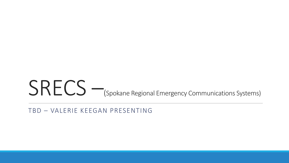### SRECS – (Spokane Regional Emergency Communications Systems)

TBD – VALERIE KEEGAN PRESENTING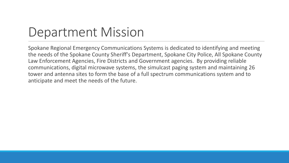## Department Mission

Spokane Regional Emergency Communications Systems is dedicated to identifying and meeting the needs of the Spokane County Sheriff's Department, Spokane City Police, All Spokane County Law Enforcement Agencies, Fire Districts and Government agencies. By providing reliable communications, digital microwave systems, the simulcast paging system and maintaining 26 tower and antenna sites to form the base of a full spectrum communications system and to anticipate and meet the needs of the future.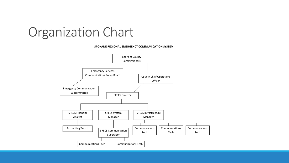

#### **SPOKANE REGIONAL EMERGENCY COMMUNICATION SYSTEM**

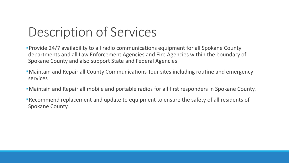# Description of Services

**Provide 24/7 availability to all radio communications equipment for all Spokane County** departments and all Law Enforcement Agencies and Fire Agencies within the boundary of Spokane County and also support State and Federal Agencies

- Maintain and Repair all County Communications Tour sites including routine and emergency services
- Maintain and Repair all mobile and portable radios for all first responders in Spokane County.

Recommend replacement and update to equipment to ensure the safety of all residents of Spokane County.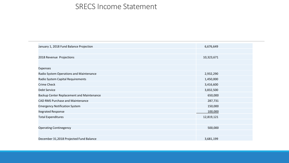#### SRECS Income Statement

| January 1, 2018 Fund Balance Projection   | 6,676,649  |
|-------------------------------------------|------------|
|                                           |            |
| 2018 Revenue Projections                  | 10,323,671 |
|                                           |            |
| Expenses                                  |            |
| Radio System Operations and Maintenance   | 2,932,290  |
| Radio System Capital Requirements         | 1,450,000  |
| <b>Crime Check</b>                        | 3,416,600  |
| Debt Service                              | 3,832,500  |
| Backup Center Replacement and Maintenance | 650,000    |
| <b>CAD RMS Purchase and Maintenance</b>   | 287,731    |
| <b>Emergency Notification System</b>      | 150,000    |
| <b>Itegrated Response</b>                 | 100,000    |
| <b>Total Expenditures</b>                 | 12,819,121 |
|                                           |            |
| <b>Operating Continegency</b>             | 500,000    |
|                                           |            |
| December 31,2018 Projected Fund Balance   | 3,681,199  |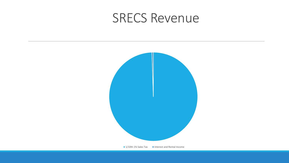### SRECS Revenue

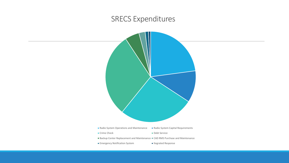### SRECS Expenditures



**Emergency Notification System** Itegrated Response